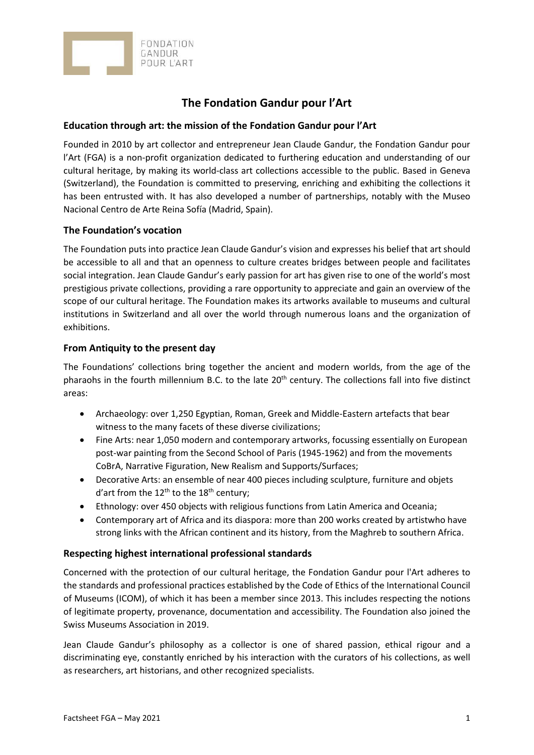

# **The Fondation Gandur pour l'Art**

# **Education through art: the mission of the Fondation Gandur pour l'Art**

Founded in 2010 by art collector and entrepreneur Jean Claude Gandur, the Fondation Gandur pour l'Art (FGA) is a non-profit organization dedicated to furthering education and understanding of our cultural heritage, by making its world-class art collections accessible to the public. Based in Geneva (Switzerland), the Foundation is committed to preserving, enriching and exhibiting the collections it has been entrusted with. It has also developed a number of partnerships, notably with the Museo Nacional Centro de Arte Reina Sofía (Madrid, Spain).

# **The Foundation's vocation**

The Foundation puts into practice Jean Claude Gandur's vision and expresses his belief that art should be accessible to all and that an openness to culture creates bridges between people and facilitates social integration. Jean Claude Gandur's early passion for art has given rise to one of the world's most prestigious private collections, providing a rare opportunity to appreciate and gain an overview of the scope of our cultural heritage. The Foundation makes its artworks available to museums and cultural institutions in Switzerland and all over the world through numerous loans and the organization of exhibitions.

# **From Antiquity to the present day**

The Foundations' collections bring together the ancient and modern worlds, from the age of the pharaohs in the fourth millennium B.C. to the late 20<sup>th</sup> century. The collections fall into five distinct areas:

- Archaeology: over 1,250 Egyptian, Roman, Greek and Middle-Eastern artefacts that bear witness to the many facets of these diverse civilizations;
- Fine Arts: near 1,050 modern and contemporary artworks, focussing essentially on European post-war painting from the Second School of Paris (1945-1962) and from the movements CoBrA, Narrative Figuration, New Realism and Supports/Surfaces;
- Decorative Arts: an ensemble of near 400 pieces including sculpture, furniture and objets d'art from the  $12<sup>th</sup>$  to the  $18<sup>th</sup>$  century;
- Ethnology: over 450 objects with religious functions from Latin America and Oceania;
- Contemporary art of Africa and its diaspora: more than 200 works created by artistwho have strong links with the African continent and its history, from the Maghreb to southern Africa.

# **Respecting highest international professional standards**

Concerned with the protection of our cultural heritage, the Fondation Gandur pour l'Art adheres to the standards and professional practices established by the Code of Ethics of the International Council of Museums (ICOM), of which it has been a member since 2013. This includes respecting the notions of legitimate property, provenance, documentation and accessibility. The Foundation also joined the Swiss Museums Association in 2019.

Jean Claude Gandur's philosophy as a collector is one of shared passion, ethical rigour and a discriminating eye, constantly enriched by his interaction with the curators of his collections, as well as researchers, art historians, and other recognized specialists.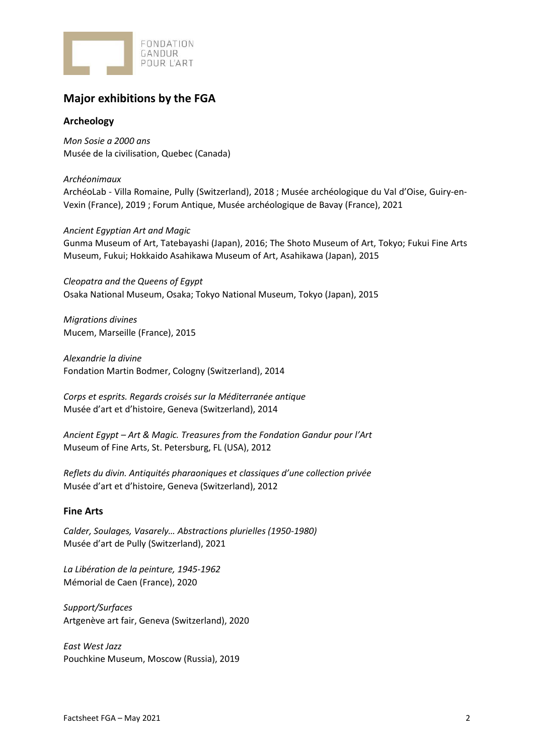

# **Major exhibitions by the FGA**

# **Archeology**

*Mon Sosie a 2000 ans* Musée de la civilisation, Quebec (Canada)

*Archéonimaux* ArchéoLab - Villa Romaine, Pully (Switzerland), 2018 ; Musée archéologique du Val d'Oise, Guiry-en-Vexin (France), 2019 ; Forum Antique, Musée archéologique de Bavay (France), 2021

#### *Ancient Egyptian Art and Magic*

Gunma Museum of Art, Tatebayashi (Japan), 2016; The Shoto Museum of Art, Tokyo; Fukui Fine Arts Museum, Fukui; Hokkaido Asahikawa Museum of Art, Asahikawa (Japan), 2015

*Cleopatra and the Queens of Egypt* Osaka National Museum, Osaka; Tokyo National Museum, Tokyo (Japan), 2015

*Migrations divines* Mucem, Marseille (France), 2015

*Alexandrie la divine* Fondation Martin Bodmer, Cologny (Switzerland), 2014

*Corps et esprits. Regards croisés sur la Méditerranée antique* Musée d'art et d'histoire, Geneva (Switzerland), 2014

*Ancient Egypt – Art & Magic. Treasures from the Fondation Gandur pour l'Art* Museum of Fine Arts, St. Petersburg, FL (USA), 2012

*Reflets du divin. Antiquités pharaoniques et classiques d'une collection privée* Musée d'art et d'histoire, Geneva (Switzerland), 2012

# **Fine Arts**

*Calder, Soulages, Vasarely… Abstractions plurielles (1950-1980)* Musée d'art de Pully (Switzerland), 2021

*La Libération de la peinture, 1945-1962* Mémorial de Caen (France), 2020

*Support/Surfaces* Artgenève art fair, Geneva (Switzerland), 2020

*East West Jazz* Pouchkine Museum, Moscow (Russia), 2019